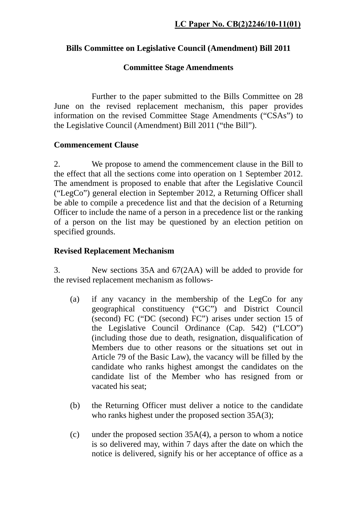# **Bills Committee on Legislative Council (Amendment) Bill 2011**

## **Committee Stage Amendments**

 Further to the paper submitted to the Bills Committee on 28 June on the revised replacement mechanism, this paper provides information on the revised Committee Stage Amendments ("CSAs") to the Legislative Council (Amendment) Bill 2011 ("the Bill").

## **Commencement Clause**

2. We propose to amend the commencement clause in the Bill to the effect that all the sections come into operation on 1 September 2012. The amendment is proposed to enable that after the Legislative Council ("LegCo") general election in September 2012, a Returning Officer shall be able to compile a precedence list and that the decision of a Returning Officer to include the name of a person in a precedence list or the ranking of a person on the list may be questioned by an election petition on specified grounds.

## **Revised Replacement Mechanism**

3. New sections 35A and 67(2AA) will be added to provide for the revised replacement mechanism as follows-

- (a) if any vacancy in the membership of the LegCo for any geographical constituency ("GC") and District Council (second) FC ("DC (second) FC") arises under section 15 of the Legislative Council Ordinance (Cap. 542) ("LCO") (including those due to death, resignation, disqualification of Members due to other reasons or the situations set out in Article 79 of the Basic Law), the vacancy will be filled by the candidate who ranks highest amongst the candidates on the candidate list of the Member who has resigned from or vacated his seat;
- (b) the Returning Officer must deliver a notice to the candidate who ranks highest under the proposed section 35A(3);
- (c) under the proposed section 35A(4), a person to whom a notice is so delivered may, within 7 days after the date on which the notice is delivered, signify his or her acceptance of office as a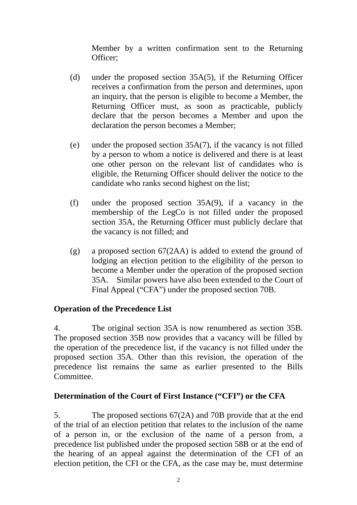Member by a written confirmation sent to the Returning Officer;

- (d) under the proposed section 35A(5), if the Returning Officer receives a confirmation from the person and determines, upon an inquiry, that the person is eligible to become a Member, the Returning Officer must, as soon as practicable, publicly declare that the person becomes a Member and upon the declaration the person becomes a Member;
- (e) under the proposed section 35A(7), if the vacancy is not filled by a person to whom a notice is delivered and there is at least one other person on the relevant list of candidates who is eligible, the Returning Officer should deliver the notice to the candidate who ranks second highest on the list;
- (f) under the proposed section 35A(9), if a vacancy in the membership of the LegCo is not filled under the proposed section 35A, the Returning Officer must publicly declare that the vacancy is not filled; and
- (g) a proposed section 67(2AA) is added to extend the ground of lodging an election petition to the eligibility of the person to become a Member under the operation of the proposed section 35A. Similar powers have also been extended to the Court of Final Appeal ("CFA") under the proposed section 70B.

## **Operation of the Precedence List**

4. The original section 35A is now renumbered as section 35B. The proposed section 35B now provides that a vacancy will be filled by the operation of the precedence list, if the vacancy is not filled under the proposed section 35A. Other than this revision, the operation of the precedence list remains the same as earlier presented to the Bills Committee.

# **Determination of the Court of First Instance ("CFI") or the CFA**

5. The proposed sections 67(2A) and 70B provide that at the end of the trial of an election petition that relates to the inclusion of the name of a person in, or the exclusion of the name of a person from, a precedence list published under the proposed section 58B or at the end of the hearing of an appeal against the determination of the CFI of an election petition, the CFI or the CFA, as the case may be, must determine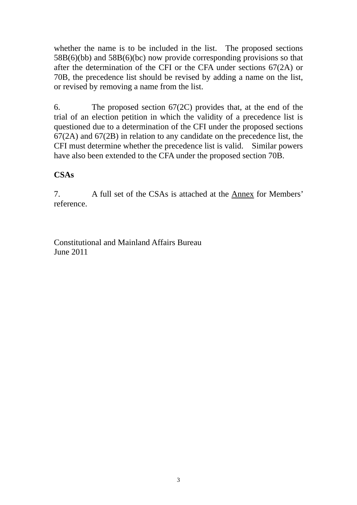whether the name is to be included in the list. The proposed sections 58B(6)(bb) and 58B(6)(bc) now provide corresponding provisions so that after the determination of the CFI or the CFA under sections 67(2A) or 70B, the precedence list should be revised by adding a name on the list, or revised by removing a name from the list.

6. The proposed section 67(2C) provides that, at the end of the trial of an election petition in which the validity of a precedence list is questioned due to a determination of the CFI under the proposed sections 67(2A) and 67(2B) in relation to any candidate on the precedence list, the CFI must determine whether the precedence list is valid. Similar powers have also been extended to the CFA under the proposed section 70B.

# **CSAs**

7. A full set of the CSAs is attached at the Annex for Members' reference.

Constitutional and Mainland Affairs Bureau June 2011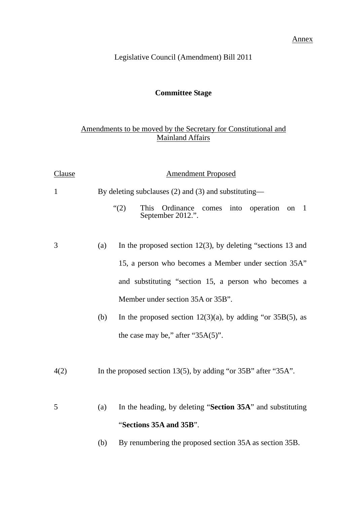Annex

Legislative Council (Amendment) Bill 2011

# **Committee Stage**

## Amendments to be moved by the Secretary for Constitutional and **Mainland Affairs**

| Clause       | <b>Amendment Proposed</b>                                |                                                                                                 |  |
|--------------|----------------------------------------------------------|-------------------------------------------------------------------------------------------------|--|
| $\mathbf{1}$ | By deleting subclauses $(2)$ and $(3)$ and substituting— |                                                                                                 |  |
|              |                                                          | $\lq(2)$<br>This<br>Ordinance comes into operation<br>$\overline{1}$<br>on<br>September 2012.". |  |
| 3            | (a)                                                      | In the proposed section $12(3)$ , by deleting "sections 13 and                                  |  |
|              |                                                          | 15, a person who becomes a Member under section 35A"                                            |  |
|              |                                                          | and substituting "section 15, a person who becomes a                                            |  |
|              |                                                          | Member under section 35A or 35B".                                                               |  |
|              | (b)                                                      | In the proposed section $12(3)(a)$ , by adding "or $35B(5)$ , as                                |  |
|              |                                                          | the case may be," after " $35A(5)$ ".                                                           |  |
| 4(2)         |                                                          | In the proposed section 13(5), by adding "or $35B$ " after " $35A$ ".                           |  |
| 5            | (a)                                                      | In the heading, by deleting "Section 35A" and substituting                                      |  |
|              |                                                          | "Sections 35A and 35B".                                                                         |  |
|              | (b)                                                      | By renumbering the proposed section 35A as section 35B.                                         |  |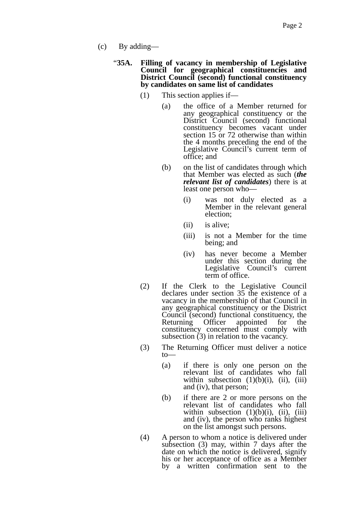(c) By adding—

### "**35A. Filling of vacancy in membership of Legislative Council for geographical constituencies and District Council (second) functional constituency by candidates on same list of candidates**

- (1) This section applies if—
	- (a) the office of a Member returned for any geographical constituency or the District Council (second) functional constituency becomes vacant under section 15 or 72 otherwise than within the 4 months preceding the end of the Legislative Council's current term of office; and
	- (b) on the list of candidates through which that Member was elected as such (*the relevant list of candidates*) there is at least one person who—
		- (i) was not duly elected as a Member in the relevant general election;
		- (ii) is alive;
		- (iii) is not a Member for the time being; and
		- (iv) has never become a Member under this section during the Legislative Council's current term of office.
- (2) If the Clerk to the Legislative Council declares under section 35 the existence of a vacancy in the membership of that Council in any geographical constituency or the District Council (second) functional constituency, the Returning Officer appointed for the constituency concerned must comply with subsection (3) in relation to the vacancy.
- (3) The Returning Officer must deliver a notice to—
	- (a) if there is only one person on the relevant list of candidates who fall within subsection  $(1)(b)(i)$ ,  $(ii)$ ,  $(iii)$ and (iv), that person;
	- (b) if there are 2 or more persons on the relevant list of candidates who fall within subsection  $(1)(b)(i)$ ,  $(ii)$ ,  $(iii)$ and (iv), the person who ranks highest on the list amongst such persons.
- (4) A person to whom a notice is delivered under subsection (3) may, within 7 days after the date on which the notice is delivered, signify his or her acceptance of office as a Member by a written confirmation sent to the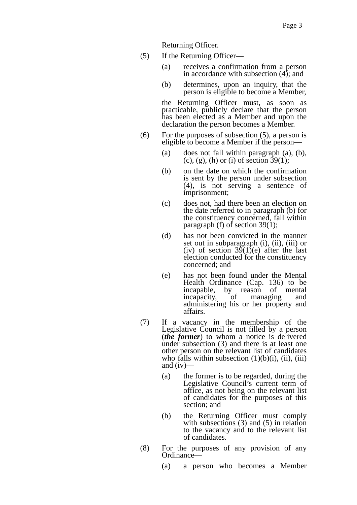Returning Officer.

- (5) If the Returning Officer—
	- (a) receives a confirmation from a person in accordance with subsection (4); and
	- (b) determines, upon an inquiry, that the person is eligible to become a Member,

the Returning Officer must, as soon as practicable, publicly declare that the person has been elected as a Member and upon the declaration the person becomes a Member.

- (6) For the purposes of subsection (5), a person is eligible to become a Member if the person—
	- (a) does not fall within paragraph (a), (b), (c), (g), (h) or (i) of section  $\overline{39(1)}$ ;
	- (b) on the date on which the confirmation is sent by the person under subsection (4), is not serving a sentence of imprisonment;
	- (c) does not, had there been an election on the date referred to in paragraph (b) for the constituency concerned, fall within paragraph (f) of section 39(1);
	- (d) has not been convicted in the manner set out in subparagraph (i), (ii), (iii) or (iv) of section  $39(1)(e)$  after the last election conducted for the constituency concerned; and
	- (e) has not been found under the Mental Health Ordinance (Cap. 136) to be incapable, by reason of mental incapacity, of managing and administering his or her property and affairs.
- (7) If a vacancy in the membership of the Legislative Council is not filled by a person (*the former*) to whom a notice is delivered under subsection (3) and there is at least one other person on the relevant list of candidates who falls within subsection  $(1)(b)(i)$ ,  $(ii)$ ,  $(iii)$ and (iv)—
	- (a) the former is to be regarded, during the Legislative Council's current term of office, as not being on the relevant list of candidates for the purposes of this section; and
	- (b) the Returning Officer must comply with subsections (3) and (5) in relation to the vacancy and to the relevant list of candidates.
- (8) For the purposes of any provision of any Ordinance—
	- (a) a person who becomes a Member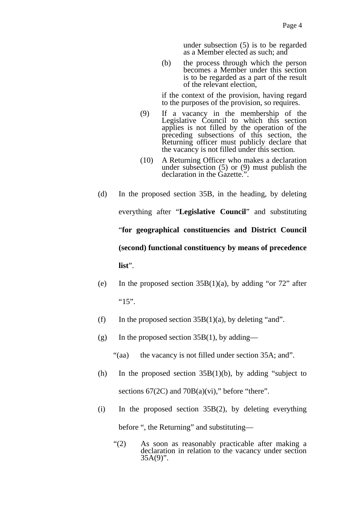under subsection (5) is to be regarded as a Member elected as such; and

(b) the process through which the person becomes a Member under this section is to be regarded as a part of the result of the relevant election,

if the context of the provision, having regard to the purposes of the provision, so requires.

- (9) If a vacancy in the membership of the Legislative Council to which this section applies is not filled by the operation of the preceding subsections of this section, the Returning officer must publicly declare that the vacancy is not filled under this section.
- (10) A Returning Officer who makes a declaration under subsection  $(5)$  or  $(9)$  must publish the declaration in the Gazette.".
- (d) In the proposed section 35B, in the heading, by deleting everything after "**Legislative Council**" and substituting "**for geographical constituencies and District Council (second) functional constituency by means of precedence list**".
- (e) In the proposed section  $35B(1)(a)$ , by adding "or 72" after  $"15"$ .
- (f) In the proposed section  $35B(1)(a)$ , by deleting "and".
- (g) In the proposed section  $35B(1)$ , by adding—

"(aa) the vacancy is not filled under section 35A; and".

- (h) In the proposed section 35B(1)(b), by adding "subject to sections  $67(2C)$  and  $70B(a)(vi)$ ," before "there".
- (i) In the proposed section 35B(2), by deleting everything before ", the Returning" and substituting—
	- "(2) As soon as reasonably practicable after making a declaration in relation to the vacancy under section  $35A(9)$ ".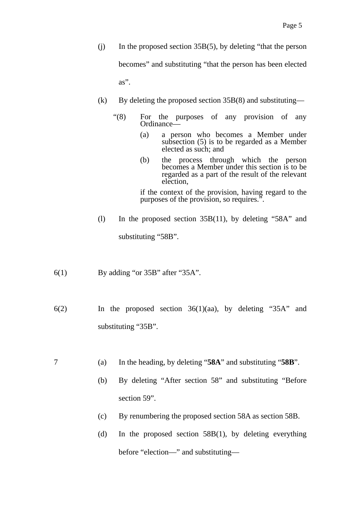- (j) In the proposed section 35B(5), by deleting "that the person becomes" and substituting "that the person has been elected as".
- (k) By deleting the proposed section  $35B(8)$  and substituting—
	- "(8) For the purposes of any provision of any Ordinance—
		- (a) a person who becomes a Member under subsection (5) is to be regarded as a Member elected as such; and
		- (b) the process through which the person becomes a Member under this section is to be regarded as a part of the result of the relevant election,

if the context of the provision, having regard to the purposes of the provision, so requires.".

- (l) In the proposed section 35B(11), by deleting "58A" and substituting "58B".
- 6(1) By adding "or 35B" after "35A".
- 6(2) In the proposed section 36(1)(aa), by deleting "35A" and substituting "35B".
- 7 (a) In the heading, by deleting "**58A**" and substituting "**58B**".
	- (b) By deleting "After section 58" and substituting "Before section 59".
	- (c) By renumbering the proposed section 58A as section 58B.
	- (d) In the proposed section 58B(1), by deleting everything before "election—" and substituting—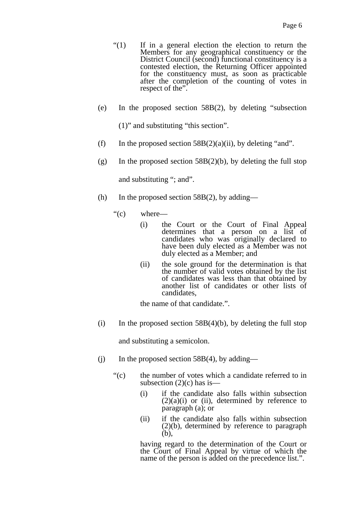- "(1) If in a general election the election to return the Members for any geographical constituency or the District Council (second) functional constituency is a contested election, the Returning Officer appointed for the constituency must, as soon as practicable after the completion of the counting of votes in respect of the".
- (e) In the proposed section 58B(2), by deleting "subsection

(1)" and substituting "this section".

- (f) In the proposed section  $58B(2)(a)(ii)$ , by deleting "and".
- (g) In the proposed section  $58B(2)(b)$ , by deleting the full stop

and substituting "; and".

- (h) In the proposed section  $58B(2)$ , by adding—
	- "(c) where—
		- (i) the Court or the Court of Final Appeal determines that a person on a list of candidates who was originally declared to have been duly elected as a Member was not duly elected as a Member; and
		- (ii) the sole ground for the determination is that the number of valid votes obtained by the list of candidates was less than that obtained by another list of candidates or other lists of candidates,

the name of that candidate.".

(i) In the proposed section  $58B(4)(b)$ , by deleting the full stop

and substituting a semicolon.

- (i) In the proposed section  $58B(4)$ , by adding—
	- "(c) the number of votes which a candidate referred to in subsection  $(2)(c)$  has is—
		- (i) if the candidate also falls within subsection  $(2)(a)(i)$  or  $(ii)$ , determined by reference to paragraph (a); or
		- (ii) if the candidate also falls within subsection (2)(b), determined by reference to paragraph  $(b)$ ,

having regard to the determination of the Court or the Court of Final Appeal by virtue of which the name of the person is added on the precedence list.".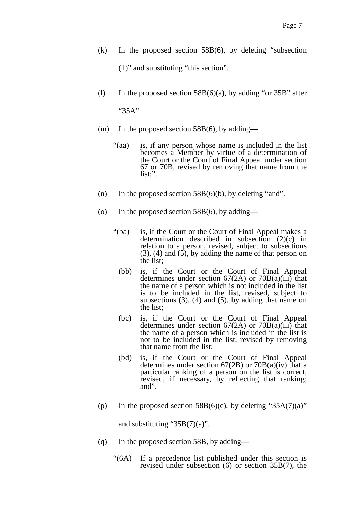- (k) In the proposed section 58B(6), by deleting "subsection (1)" and substituting "this section".
- (l) In the proposed section  $58B(6)(a)$ , by adding "or  $35B$ " after "35A".
- (m) In the proposed section  $58B(6)$ , by adding—
	- "(aa) is, if any person whose name is included in the list becomes a Member by virtue of a determination of the Court or the Court of Final Appeal under section 67 or 70B, revised by removing that name from the list;".
- (n) In the proposed section  $58B(6)(b)$ , by deleting "and".
- (o) In the proposed section  $58B(6)$ , by adding—
	- "(ba) is, if the Court or the Court of Final Appeal makes a determination described in subsection (2)(c) in relation to a person, revised, subject to subsections  $(3)$ ,  $(4)$  and  $(5)$ , by adding the name of that person on the list;
		- (bb) is, if the Court or the Court of Final Appeal determines under section  $67(2A)$  or  $70B(a)(iii)$  that the name of a person which is not included in the list is to be included in the list, revised, subject to subsections  $(3)$ ,  $(4)$  and  $(5)$ , by adding that name on the list;
		- (bc) is, if the Court or the Court of Final Appeal determines under section  $67(2A)$  or  $70B(a)(iii)$  that the name of a person which is included in the list is not to be included in the list, revised by removing that name from the list;
		- (bd) is, if the Court or the Court of Final Appeal determines under section  $67(2B)$  or  $70B(a)(iv)$  that a particular ranking of a person on the list is correct, revised, if necessary, by reflecting that ranking; and".
- (p) In the proposed section  $58B(6)(c)$ , by deleting "35A(7)(a)"

and substituting " $35B(7)(a)$ ".

- (q) In the proposed section 58B, by adding—
	- "(6A) If a precedence list published under this section is revised under subsection (6) or section 35B(7), the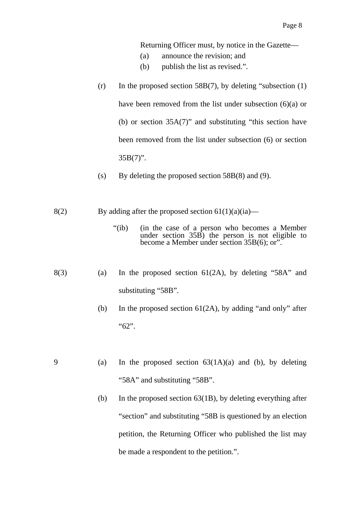Returning Officer must, by notice in the Gazette—

- (a) announce the revision; and
- (b) publish the list as revised.".
- $(r)$  In the proposed section 58B(7), by deleting "subsection (1) have been removed from the list under subsection (6)(a) or (b) or section 35A(7)" and substituting "this section have been removed from the list under subsection (6) or section  $35B(7)$ ".
- (s) By deleting the proposed section  $58B(8)$  and (9).
- 8(2) By adding after the proposed section  $61(1)(a)(ia)$ 
	- "(ib) (in the case of a person who becomes a Member under section 35B) the person is not eligible to become a Member under section 35B(6); or".
- $8(3)$  (a) In the proposed section 61(2A), by deleting "58A" and substituting "58B".
	- (b) In the proposed section  $61(2A)$ , by adding "and only" after "62".
- 9 (a) In the proposed section  $63(1A)(a)$  and (b), by deleting "58A" and substituting "58B".
	- (b) In the proposed section 63(1B), by deleting everything after "section" and substituting "58B is questioned by an election petition, the Returning Officer who published the list may be made a respondent to the petition.".
-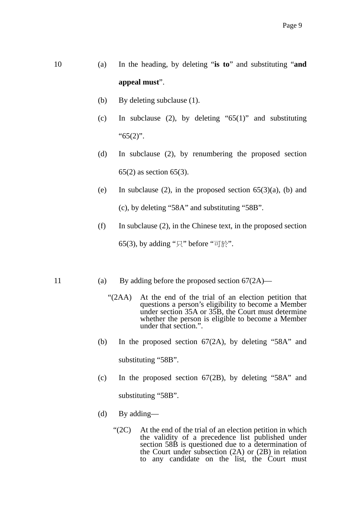- 10 (a) In the heading, by deleting "**is to**" and substituting "**and appeal must**".
	- (b) By deleting subclause (1).
	- (c) In subclause (2), by deleting " $65(1)$ " and substituting " $65(2)$ ".
	- (d) In subclause (2), by renumbering the proposed section 65(2) as section 65(3).
	- (e) In subclause (2), in the proposed section  $65(3)(a)$ , (b) and (c), by deleting "58A" and substituting "58B".
	- (f) In subclause (2), in the Chinese text, in the proposed section 65(3), by adding "只" before "可於".
- 11 (a) By adding before the proposed section 67(2A)—
	- "(2AA) At the end of the trial of an election petition that questions a person's eligibility to become a Member under section 35A or 35B, the Court must determine whether the person is eligible to become a Member under that section.".
	- (b) In the proposed section 67(2A), by deleting "58A" and substituting "58B".
	- (c) In the proposed section 67(2B), by deleting "58A" and substituting "58B".
	- (d) By adding—
		- "(2C) At the end of the trial of an election petition in which the validity of a precedence list published under section 58B is questioned due to a determination of the Court under subsection (2A) or (2B) in relation to any candidate on the list, the Court must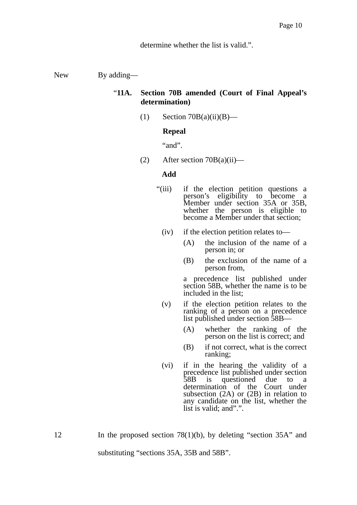determine whether the list is valid.".

New By adding—

## "**11A. Section 70B amended (Court of Final Appeal's determination)**

(1) Section  $70B(a)(ii)(B)$ —

#### **Repeal**

"and".

(2) After section  $70B(a)(ii)$ —

### **Add**

- "(iii) if the election petition questions a person's eligibility to become a Member under section 35A or 35B. whether the person is eligible to become a Member under that section;
	- (iv) if the election petition relates to—
		- (A) the inclusion of the name of a person in; or
		- (B) the exclusion of the name of a person from,

a precedence list published under section 58B, whether the name is to be included in the list;

- (v) if the election petition relates to the ranking of a person on a precedence list published under section 58B—
	- (A) whether the ranking of the person on the list is correct; and
	- (B) if not correct, what is the correct ranking;
- (vi) if in the hearing the validity of a precedence list published under section<br>58B is questioned due to a questioned determination of the Court under subsection (2A) or (2B) in relation to any candidate on the list, whether the list is valid; and".".

12 In the proposed section 78(1)(b), by deleting "section 35A" and substituting "sections 35A, 35B and 58B".